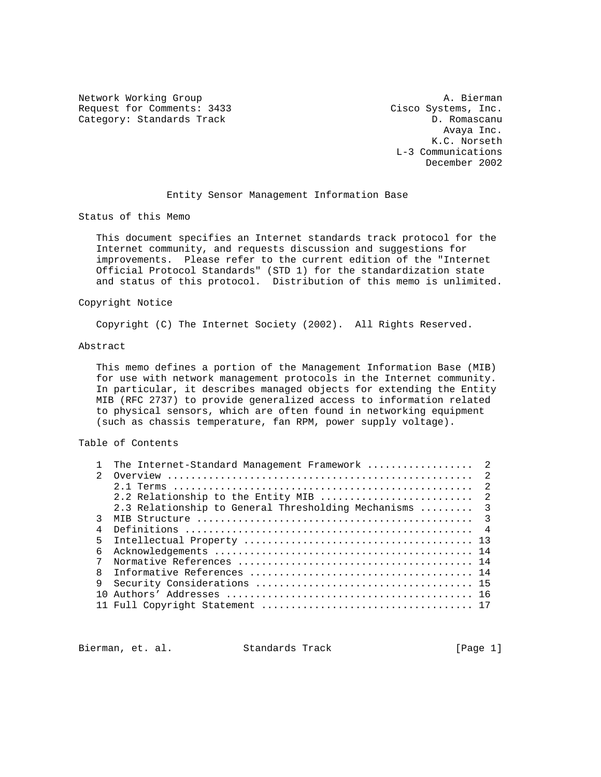Network Working Group and A. Bierman A. Bierman Request for Comments: 3433 Cisco Systems, Inc. Category: Standards Track D. Romascanu

 Avaya Inc. K.C. Norseth L-3 Communications December 2002

## Entity Sensor Management Information Base

Status of this Memo

 This document specifies an Internet standards track protocol for the Internet community, and requests discussion and suggestions for improvements. Please refer to the current edition of the "Internet Official Protocol Standards" (STD 1) for the standardization state and status of this protocol. Distribution of this memo is unlimited.

## Copyright Notice

Copyright (C) The Internet Society (2002). All Rights Reserved.

#### Abstract

 This memo defines a portion of the Management Information Base (MIB) for use with network management protocols in the Internet community. In particular, it describes managed objects for extending the Entity MIB (RFC 2737) to provide generalized access to information related to physical sensors, which are often found in networking equipment (such as chassis temperature, fan RPM, power supply voltage).

# Table of Contents

|               | The Internet-Standard Management Framework  2          |  |
|---------------|--------------------------------------------------------|--|
| $\mathcal{L}$ |                                                        |  |
|               |                                                        |  |
|               | 2.2 Relationship to the Entity MIB  2                  |  |
|               | 2.3 Relationship to General Thresholding Mechanisms  3 |  |
| ζ             |                                                        |  |
| 4             |                                                        |  |
| 5             |                                                        |  |
| 6             |                                                        |  |
| 7             |                                                        |  |
| 8             |                                                        |  |
| 9             |                                                        |  |
|               |                                                        |  |
|               |                                                        |  |

Bierman, et. al. Standards Track [Page 1]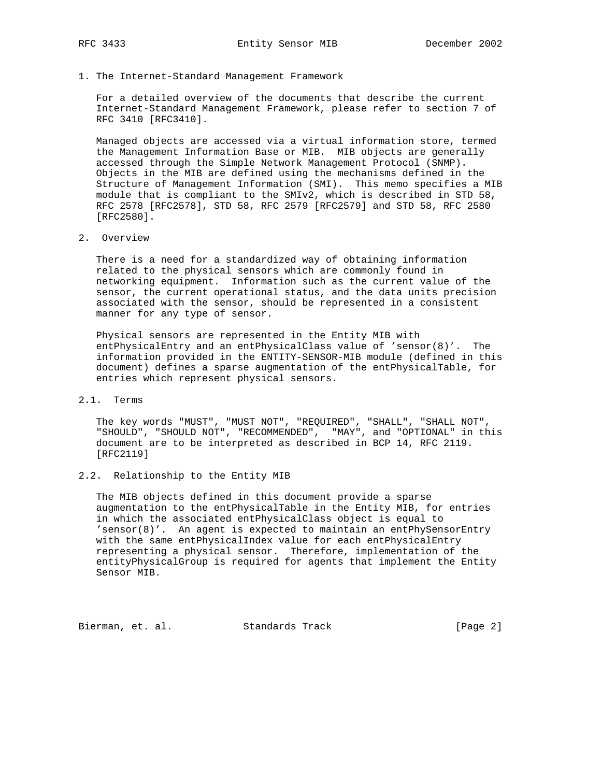1. The Internet-Standard Management Framework

 For a detailed overview of the documents that describe the current Internet-Standard Management Framework, please refer to section 7 of RFC 3410 [RFC3410].

 Managed objects are accessed via a virtual information store, termed the Management Information Base or MIB. MIB objects are generally accessed through the Simple Network Management Protocol (SNMP). Objects in the MIB are defined using the mechanisms defined in the Structure of Management Information (SMI). This memo specifies a MIB module that is compliant to the SMIv2, which is described in STD 58, RFC 2578 [RFC2578], STD 58, RFC 2579 [RFC2579] and STD 58, RFC 2580 [RFC2580].

2. Overview

 There is a need for a standardized way of obtaining information related to the physical sensors which are commonly found in networking equipment. Information such as the current value of the sensor, the current operational status, and the data units precision associated with the sensor, should be represented in a consistent manner for any type of sensor.

 Physical sensors are represented in the Entity MIB with entPhysicalEntry and an entPhysicalClass value of 'sensor(8)'. The information provided in the ENTITY-SENSOR-MIB module (defined in this document) defines a sparse augmentation of the entPhysicalTable, for entries which represent physical sensors.

# 2.1. Terms

 The key words "MUST", "MUST NOT", "REQUIRED", "SHALL", "SHALL NOT", "SHOULD", "SHOULD NOT", "RECOMMENDED", "MAY", and "OPTIONAL" in this document are to be interpreted as described in BCP 14, RFC 2119. [RFC2119]

# 2.2. Relationship to the Entity MIB

 The MIB objects defined in this document provide a sparse augmentation to the entPhysicalTable in the Entity MIB, for entries in which the associated entPhysicalClass object is equal to 'sensor(8)'. An agent is expected to maintain an entPhySensorEntry with the same entPhysicalIndex value for each entPhysicalEntry representing a physical sensor. Therefore, implementation of the entityPhysicalGroup is required for agents that implement the Entity Sensor MIB.

Bierman, et. al. Standards Track [Page 2]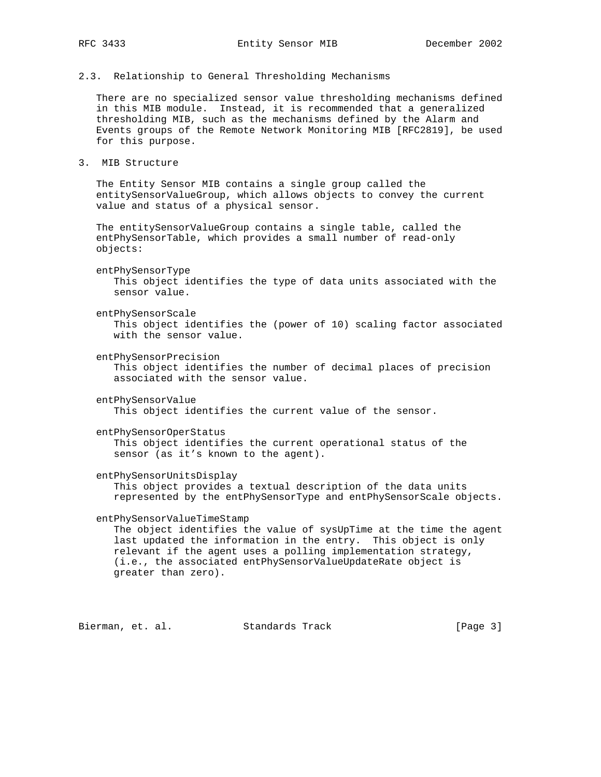2.3. Relationship to General Thresholding Mechanisms

 There are no specialized sensor value thresholding mechanisms defined in this MIB module. Instead, it is recommended that a generalized thresholding MIB, such as the mechanisms defined by the Alarm and Events groups of the Remote Network Monitoring MIB [RFC2819], be used for this purpose.

3. MIB Structure

 The Entity Sensor MIB contains a single group called the entitySensorValueGroup, which allows objects to convey the current value and status of a physical sensor.

 The entitySensorValueGroup contains a single table, called the entPhySensorTable, which provides a small number of read-only objects:

entPhySensorType

 This object identifies the type of data units associated with the sensor value.

 entPhySensorScale This object identifies the (power of 10) scaling factor associated with the sensor value.

entPhySensorPrecision

 This object identifies the number of decimal places of precision associated with the sensor value.

entPhySensorValue

This object identifies the current value of the sensor.

entPhySensorOperStatus

 This object identifies the current operational status of the sensor (as it's known to the agent).

entPhySensorUnitsDisplay

 This object provides a textual description of the data units represented by the entPhySensorType and entPhySensorScale objects.

entPhySensorValueTimeStamp

 The object identifies the value of sysUpTime at the time the agent last updated the information in the entry. This object is only relevant if the agent uses a polling implementation strategy, (i.e., the associated entPhySensorValueUpdateRate object is greater than zero).

Bierman, et. al. Standards Track [Page 3]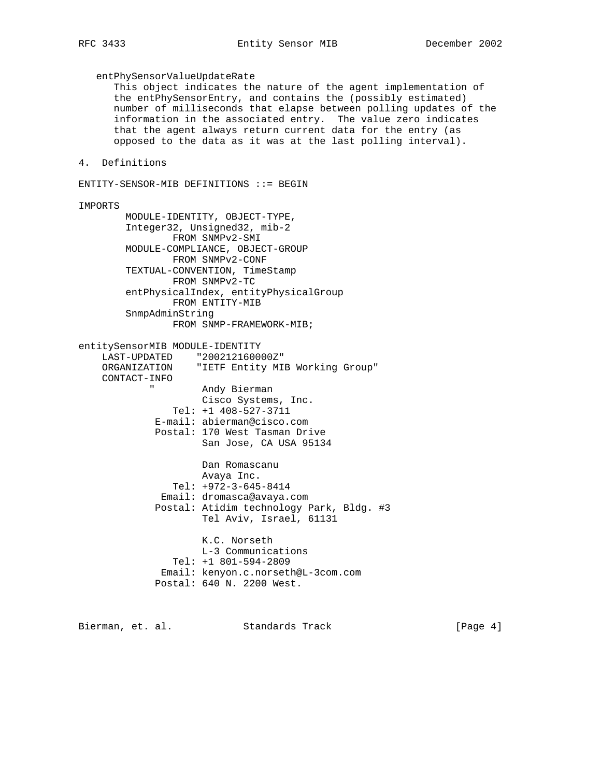entPhySensorValueUpdateRate This object indicates the nature of the agent implementation of the entPhySensorEntry, and contains the (possibly estimated) number of milliseconds that elapse between polling updates of the information in the associated entry. The value zero indicates that the agent always return current data for the entry (as opposed to the data as it was at the last polling interval). 4. Definitions ENTITY-SENSOR-MIB DEFINITIONS ::= BEGIN IMPORTS MODULE-IDENTITY, OBJECT-TYPE, Integer32, Unsigned32, mib-2 FROM SNMPv2-SMI MODULE-COMPLIANCE, OBJECT-GROUP FROM SNMPv2-CONF TEXTUAL-CONVENTION, TimeStamp FROM SNMPv2-TC entPhysicalIndex, entityPhysicalGroup FROM ENTITY-MIB SnmpAdminString FROM SNMP-FRAMEWORK-MIB; entitySensorMIB MODULE-IDENTITY LAST-UPDATED "200212160000Z" ORGANIZATION "IETF Entity MIB Working Group" CONTACT-INFO Andy Bierman Cisco Systems, Inc. Tel: +1 408-527-3711 E-mail: abierman@cisco.com Postal: 170 West Tasman Drive San Jose, CA USA 95134 Dan Romascanu Avaya Inc. Tel: +972-3-645-8414 Email: dromasca@avaya.com Postal: Atidim technology Park, Bldg. #3 Tel Aviv, Israel, 61131 K.C. Norseth L-3 Communications Tel: +1 801-594-2809 Email: kenyon.c.norseth@L-3com.com Postal: 640 N. 2200 West.

Bierman, et. al. Standards Track [Page 4]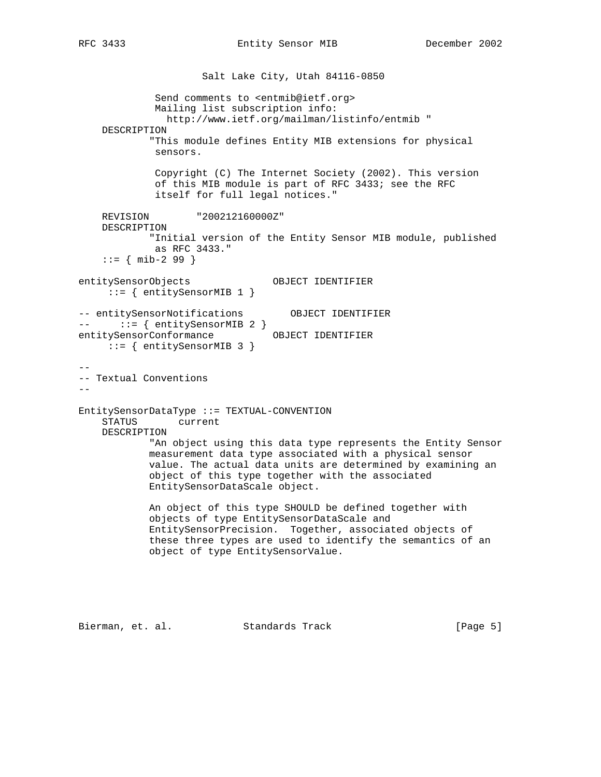Salt Lake City, Utah 84116-0850 Send comments to <entmib@ietf.org> Mailing list subscription info: http://www.ietf.org/mailman/listinfo/entmib " DESCRIPTION "This module defines Entity MIB extensions for physical sensors. Copyright (C) The Internet Society (2002). This version of this MIB module is part of RFC 3433; see the RFC itself for full legal notices." REVISION "200212160000Z" DESCRIPTION "Initial version of the Entity Sensor MIB module, published as RFC 3433."  $::=$  { mib-2 99 } entitySensorObjects OBJECT IDENTIFIER ::= { entitySensorMIB 1 } -- entitySensorNotifications OBJECT IDENTIFIER --  $::=$  { entitySensorMIB 2 } entitySensorConformance OBJECT IDENTIFIER ::= { entitySensorMIB 3 } -- -- Textual Conventions -- EntitySensorDataType ::= TEXTUAL-CONVENTION STATUS current DESCRIPTION "An object using this data type represents the Entity Sensor measurement data type associated with a physical sensor value. The actual data units are determined by examining an object of this type together with the associated EntitySensorDataScale object. An object of this type SHOULD be defined together with objects of type EntitySensorDataScale and EntitySensorPrecision. Together, associated objects of these three types are used to identify the semantics of an object of type EntitySensorValue.

Bierman, et. al. Standards Track [Page 5]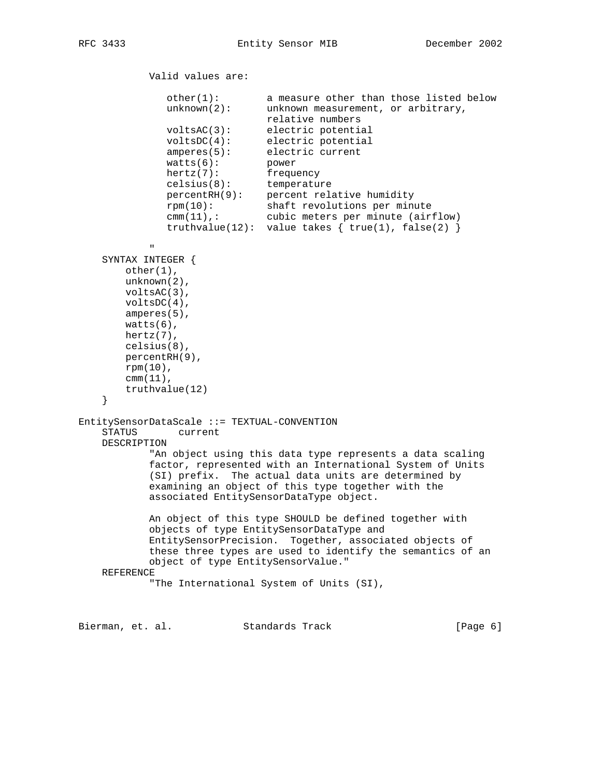Valid values are: other(1): a measure other than those listed below unknown(2): unknown measurement, or arbitrary, relative numbers voltsAC(3): electric potential voltsDC(4): electric potential amperes(5): electric current watts(6): power hertz(7): frequency celsius(8): temperature percentRH(9): percent relative humidity rpm(10): shaft revolutions per minute cmm(11),: cubic meters per minute (airflow) truthvalue(12): value takes  $\{$  true(1), false(2)  $\}$ " "The Contract of the Contract of the Contract of the Contract of the Contract of the Contract of the Contract of the Contract of the Contract of the Contract of the Contract of the Contract of the Contract of the Contrac SYNTAX INTEGER { other(1), unknown(2), voltsAC(3), voltsDC(4), amperes(5), watts(6), hertz(7), celsius(8), percentRH(9), rpm(10), cmm(11), truthvalue(12) } EntitySensorDataScale ::= TEXTUAL-CONVENTION STATUS current DESCRIPTION "An object using this data type represents a data scaling factor, represented with an International System of Units (SI) prefix. The actual data units are determined by examining an object of this type together with the associated EntitySensorDataType object. An object of this type SHOULD be defined together with objects of type EntitySensorDataType and EntitySensorPrecision. Together, associated objects of these three types are used to identify the semantics of an object of type EntitySensorValue." REFERENCE "The International System of Units (SI),

Bierman, et. al. Standards Track [Page 6]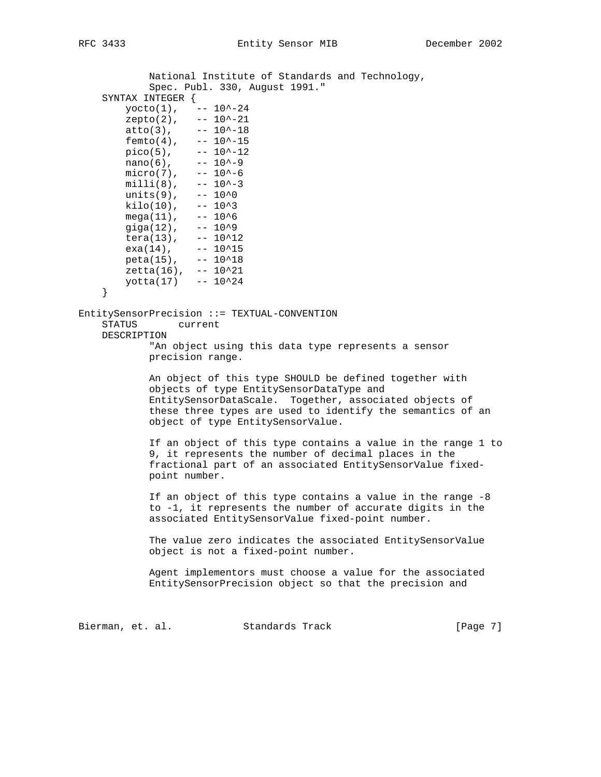National Institute of Standards and Technology, Spec. Publ. 330, August 1991." SYNTAX INTEGER {  $\text{yocto}(1)$ , --  $10^{\texttt{^-24}}$  $zepto(2)$ , --  $10^{\lambda}-21$  $atto(3)$ ,  $-- 10^{\lambda} - 18$  $femto(4)$ , --  $10^{\lambda}$ -15  $pico(5)$ , --  $10^{\lambda}-12$  $nano(6)$ ,  $-- 10$ ^-9  $micro(7)$ , -- 10^-6  $milli(8)$ ,  $-- 10^{\lambda} -3$  $units(9)$ ,  $-- 10<sup>0</sup>$ kilo(10),  $-- 10^3$ <br>mega(11),  $-- 10^6$ mega(11),  $-10^{6}$ <br>giga(12),  $-10^{6}$ giga $(12)$ ,  $tera(13)$ ,  $-- 10^12$  $exa(14)$ , -- 10^15  $peta(15)$ , --  $10^18$  $zeta(16)$ , --  $10^21$  $yotta(17)$  -- 10^24 } EntitySensorPrecision ::= TEXTUAL-CONVENTION STATUS current DESCRIPTION "An object using this data type represents a sensor precision range. An object of this type SHOULD be defined together with objects of type EntitySensorDataType and EntitySensorDataScale. Together, associated objects of these three types are used to identify the semantics of an object of type EntitySensorValue. If an object of this type contains a value in the range 1 to 9, it represents the number of decimal places in the fractional part of an associated EntitySensorValue fixed point number. If an object of this type contains a value in the range -8 to -1, it represents the number of accurate digits in the associated EntitySensorValue fixed-point number. The value zero indicates the associated EntitySensorValue object is not a fixed-point number. Agent implementors must choose a value for the associated EntitySensorPrecision object so that the precision and Bierman, et. al. Standards Track [Page 7]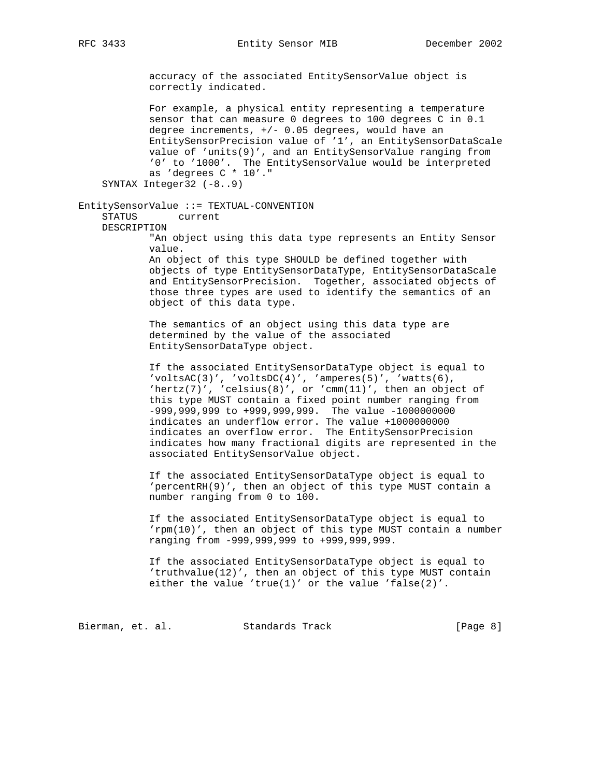accuracy of the associated EntitySensorValue object is correctly indicated.

 For example, a physical entity representing a temperature sensor that can measure 0 degrees to 100 degrees C in 0.1 degree increments, +/- 0.05 degrees, would have an EntitySensorPrecision value of '1', an EntitySensorDataScale value of 'units(9)', and an EntitySensorValue ranging from '0' to '1000'. The EntitySensorValue would be interpreted as 'degrees C \* 10'." SYNTAX Integer32 (-8..9)

EntitySensorValue ::= TEXTUAL-CONVENTION STATUS current DESCRIPTION

> "An object using this data type represents an Entity Sensor value.

> An object of this type SHOULD be defined together with objects of type EntitySensorDataType, EntitySensorDataScale and EntitySensorPrecision. Together, associated objects of those three types are used to identify the semantics of an object of this data type.

 The semantics of an object using this data type are determined by the value of the associated EntitySensorDataType object.

 If the associated EntitySensorDataType object is equal to  $'voltsAC(3)'$ ,  $'voltsDC(4)'$ ,  $'amperes(5)'$ ,  $'watts(6)$ , 'hertz(7)', 'celsius(8)', or 'cmm(11)', then an object of this type MUST contain a fixed point number ranging from -999,999,999 to +999,999,999. The value -1000000000 indicates an underflow error. The value +1000000000 indicates an overflow error. The EntitySensorPrecision indicates how many fractional digits are represented in the associated EntitySensorValue object.

 If the associated EntitySensorDataType object is equal to 'percentRH(9)', then an object of this type MUST contain a number ranging from 0 to 100.

 If the associated EntitySensorDataType object is equal to 'rpm(10)', then an object of this type MUST contain a number ranging from -999,999,999 to +999,999,999.

 If the associated EntitySensorDataType object is equal to 'truthvalue(12)', then an object of this type MUST contain either the value 'true(1)' or the value 'false(2)'.

Bierman, et. al. Standards Track [Page 8]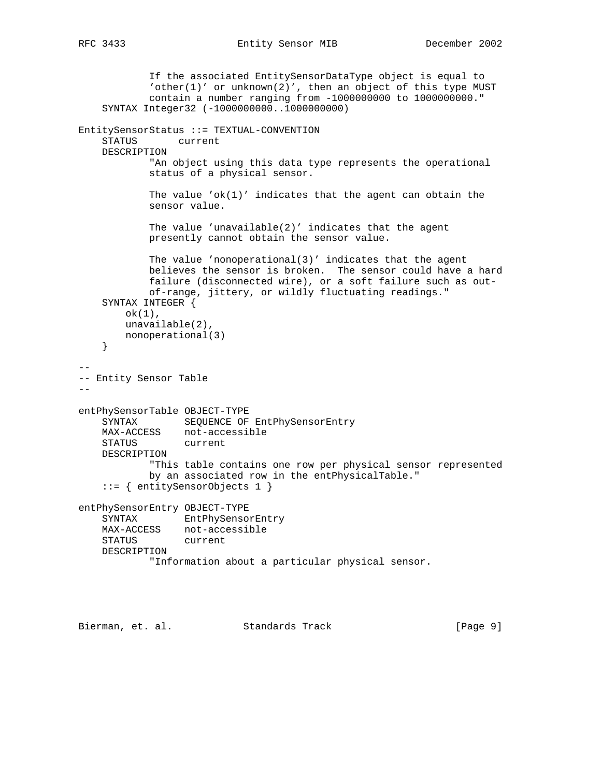```
 If the associated EntitySensorDataType object is equal to
             'other(1)' or unknown(2)', then an object of this type MUST
            contain a number ranging from -1000000000 to 1000000000."
     SYNTAX Integer32 (-1000000000..1000000000)
EntitySensorStatus ::= TEXTUAL-CONVENTION
     STATUS current
    DESCRIPTION
            "An object using this data type represents the operational
            status of a physical sensor.
           The value 'ok(1)' indicates that the agent can obtain the
            sensor value.
            The value 'unavailable(2)' indicates that the agent
            presently cannot obtain the sensor value.
            The value 'nonoperational(3)' indicates that the agent
            believes the sensor is broken. The sensor could have a hard
            failure (disconnected wire), or a soft failure such as out-
            of-range, jittery, or wildly fluctuating readings."
     SYNTAX INTEGER {
        ok(1),
        unavailable(2),
        nonoperational(3)
     }
--
-- Entity Sensor Table
--
entPhySensorTable OBJECT-TYPE
     SYNTAX SEQUENCE OF EntPhySensorEntry
    MAX-ACCESS not-accessible
    STATUS current
    DESCRIPTION
            "This table contains one row per physical sensor represented
            by an associated row in the entPhysicalTable."
     ::= { entitySensorObjects 1 }
entPhySensorEntry OBJECT-TYPE
    SYNTAX EntPhySensorEntry
    MAX-ACCESS not-accessible
    STATUS current
    DESCRIPTION
             "Information about a particular physical sensor.
```
Bierman, et. al. Standards Track [Page 9]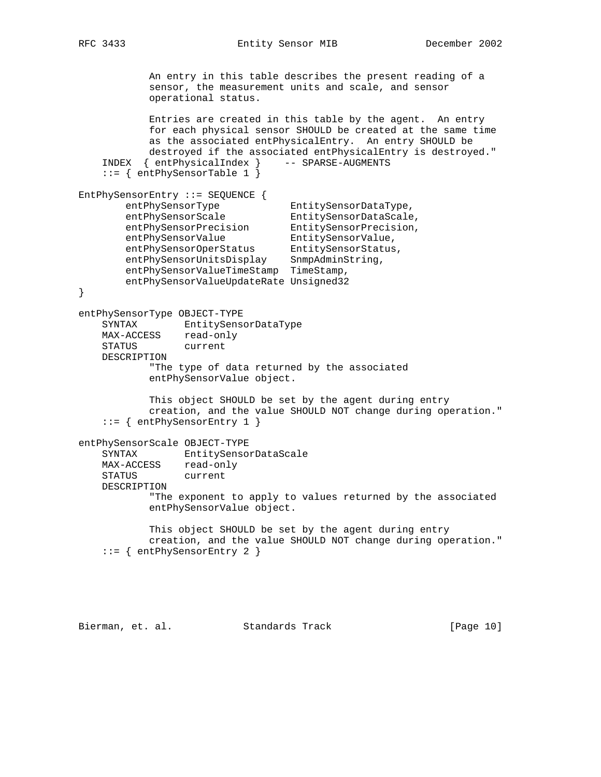RFC 3433 Entity Sensor MIB December 2002

 An entry in this table describes the present reading of a sensor, the measurement units and scale, and sensor operational status. Entries are created in this table by the agent. An entry for each physical sensor SHOULD be created at the same time as the associated entPhysicalEntry. An entry SHOULD be destroyed if the associated entPhysicalEntry is destroyed." INDEX { entPhysicalIndex } -- SPARSE-AUGMENTS ::= { entPhySensorTable 1 } EntPhySensorEntry ::= SEQUENCE { entPhySensorType EntitySensorDataType, entPhySensorScale EntitySensorDataScale, entPhySensorPrecision EntitySensorPrecision, entPhySensorValue EntitySensorValue, entPhySensorOperStatus EntitySensorStatus, entPhySensorUnitsDisplay SnmpAdminString, entPhySensorValueTimeStamp TimeStamp, entPhySensorValueUpdateRate Unsigned32 } entPhySensorType OBJECT-TYPE SYNTAX EntitySensorDataType MAX-ACCESS read-only STATUS current DESCRIPTION "The type of data returned by the associated entPhySensorValue object. This object SHOULD be set by the agent during entry creation, and the value SHOULD NOT change during operation." ::= { entPhySensorEntry 1 } entPhySensorScale OBJECT-TYPE SYNTAX EntitySensorDataScale MAX-ACCESS read-only STATUS current DESCRIPTION "The exponent to apply to values returned by the associated entPhySensorValue object. This object SHOULD be set by the agent during entry creation, and the value SHOULD NOT change during operation." ::= { entPhySensorEntry 2 }

Bierman, et. al. Standards Track [Page 10]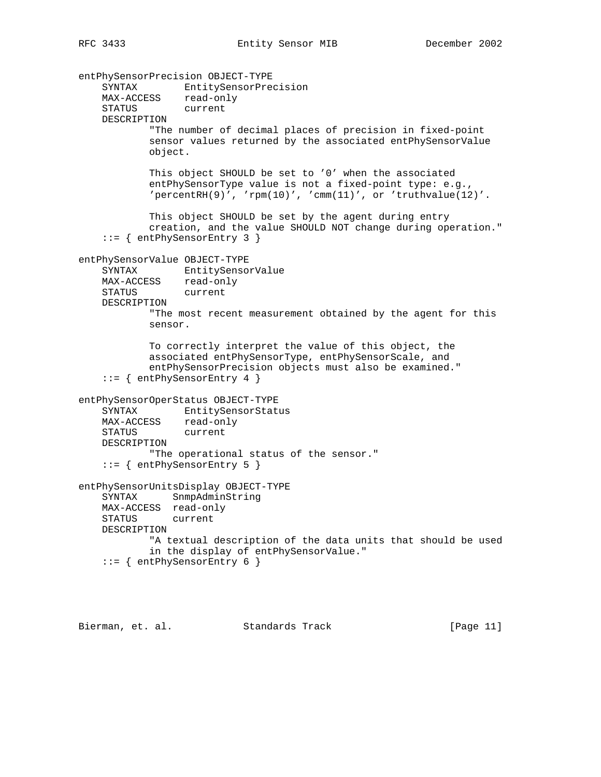entPhySensorPrecision OBJECT-TYPE SYNTAX EntitySensorPrecision MAX-ACCESS read-only STATUS current DESCRIPTION "The number of decimal places of precision in fixed-point sensor values returned by the associated entPhySensorValue object. This object SHOULD be set to '0' when the associated entPhySensorType value is not a fixed-point type: e.g.,  $'percentRH(9)'$ ,  $'rem(10)'$ ,  $'cmm(11)'$ , or  $'truthvalue(12)'$ . This object SHOULD be set by the agent during entry creation, and the value SHOULD NOT change during operation." ::= { entPhySensorEntry 3 } entPhySensorValue OBJECT-TYPE SYNTAX EntitySensorValue MAX-ACCESS read-only STATUS current DESCRIPTION "The most recent measurement obtained by the agent for this sensor. To correctly interpret the value of this object, the associated entPhySensorType, entPhySensorScale, and entPhySensorPrecision objects must also be examined." ::= { entPhySensorEntry 4 } entPhySensorOperStatus OBJECT-TYPE SYNTAX EntitySensorStatus MAX-ACCESS read-only STATUS current DESCRIPTION "The operational status of the sensor." ::= { entPhySensorEntry 5 } entPhySensorUnitsDisplay OBJECT-TYPE SYNTAX SnmpAdminString MAX-ACCESS read-only STATUS current DESCRIPTION "A textual description of the data units that should be used in the display of entPhySensorValue." ::= { entPhySensorEntry 6 }

Bierman, et. al. Standards Track [Page 11]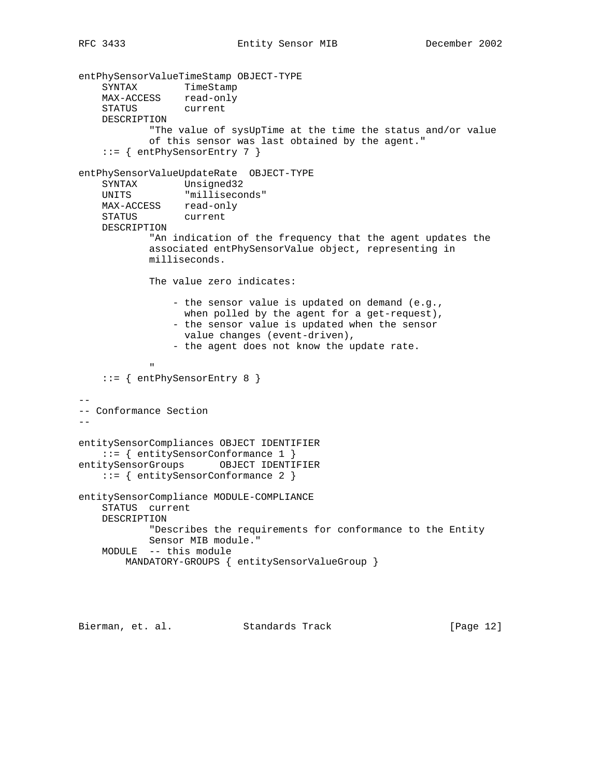entPhySensorValueTimeStamp OBJECT-TYPE SYNTAX TimeStamp MAX-ACCESS read-only STATUS current DESCRIPTION "The value of sysUpTime at the time the status and/or value of this sensor was last obtained by the agent." ::= { entPhySensorEntry 7 } entPhySensorValueUpdateRate OBJECT-TYPE SYNTAX Unsigned32 UNITS "milliseconds" MAX-ACCESS read-only STATUS current DESCRIPTION "An indication of the frequency that the agent updates the associated entPhySensorValue object, representing in milliseconds. The value zero indicates: - the sensor value is updated on demand (e.g., when polled by the agent for a get-request), - the sensor value is updated when the sensor value changes (event-driven), - the agent does not know the update rate. " "The Contract of the Contract of the Contract of the Contract of the Contract of the Contract of the Contract of the Contract of the Contract of the Contract of the Contract of the Contract of the Contract of the Contrac ::= { entPhySensorEntry 8 }  $- -$ -- Conformance Section - entitySensorCompliances OBJECT IDENTIFIER ::= { entitySensorConformance 1 } entitySensorGroups OBJECT IDENTIFIER ::= { entitySensorConformance 2 } entitySensorCompliance MODULE-COMPLIANCE STATUS current DESCRIPTION "Describes the requirements for conformance to the Entity Sensor MIB module." MODULE -- this module MANDATORY-GROUPS { entitySensorValueGroup }

Bierman, et. al. Standards Track [Page 12]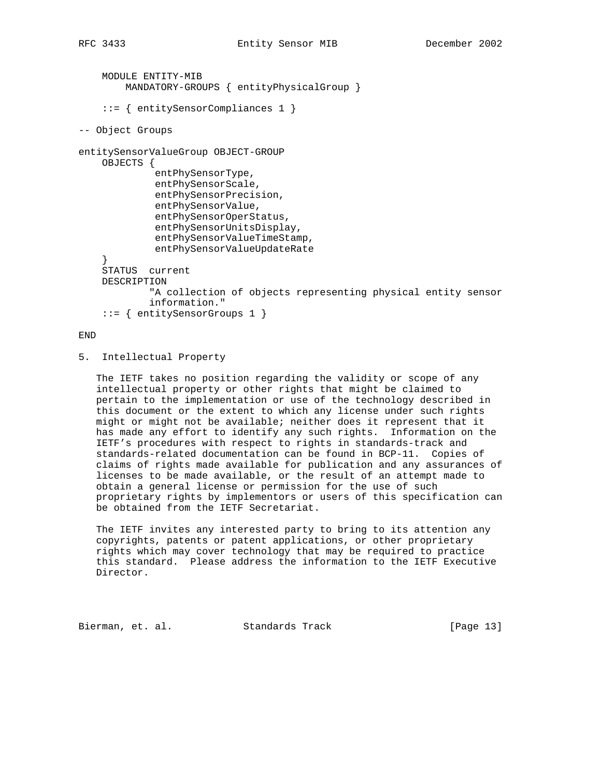```
 MODULE ENTITY-MIB
         MANDATORY-GROUPS { entityPhysicalGroup }
     ::= { entitySensorCompliances 1 }
-- Object Groups
entitySensorValueGroup OBJECT-GROUP
     OBJECTS {
              entPhySensorType,
              entPhySensorScale,
              entPhySensorPrecision,
              entPhySensorValue,
              entPhySensorOperStatus,
              entPhySensorUnitsDisplay,
              entPhySensorValueTimeStamp,
              entPhySensorValueUpdateRate
     }
     STATUS current
     DESCRIPTION
             "A collection of objects representing physical entity sensor
             information."
     ::= { entitySensorGroups 1 }
```
END

5. Intellectual Property

 The IETF takes no position regarding the validity or scope of any intellectual property or other rights that might be claimed to pertain to the implementation or use of the technology described in this document or the extent to which any license under such rights might or might not be available; neither does it represent that it has made any effort to identify any such rights. Information on the IETF's procedures with respect to rights in standards-track and standards-related documentation can be found in BCP-11. Copies of claims of rights made available for publication and any assurances of licenses to be made available, or the result of an attempt made to obtain a general license or permission for the use of such proprietary rights by implementors or users of this specification can be obtained from the IETF Secretariat.

 The IETF invites any interested party to bring to its attention any copyrights, patents or patent applications, or other proprietary rights which may cover technology that may be required to practice this standard. Please address the information to the IETF Executive Director.

Bierman, et. al. Standards Track [Page 13]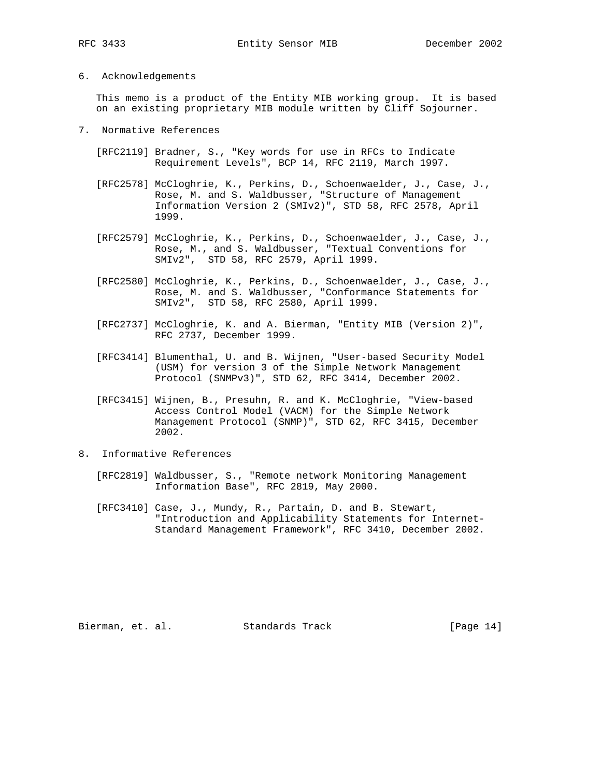# 6. Acknowledgements

 This memo is a product of the Entity MIB working group. It is based on an existing proprietary MIB module written by Cliff Sojourner.

- 7. Normative References
	- [RFC2119] Bradner, S., "Key words for use in RFCs to Indicate Requirement Levels", BCP 14, RFC 2119, March 1997.
	- [RFC2578] McCloghrie, K., Perkins, D., Schoenwaelder, J., Case, J., Rose, M. and S. Waldbusser, "Structure of Management Information Version 2 (SMIv2)", STD 58, RFC 2578, April 1999.
	- [RFC2579] McCloghrie, K., Perkins, D., Schoenwaelder, J., Case, J., Rose, M., and S. Waldbusser, "Textual Conventions for SMIv2", STD 58, RFC 2579, April 1999.
	- [RFC2580] McCloghrie, K., Perkins, D., Schoenwaelder, J., Case, J., Rose, M. and S. Waldbusser, "Conformance Statements for SMIv2", STD 58, RFC 2580, April 1999.
	- [RFC2737] McCloghrie, K. and A. Bierman, "Entity MIB (Version 2)", RFC 2737, December 1999.
	- [RFC3414] Blumenthal, U. and B. Wijnen, "User-based Security Model (USM) for version 3 of the Simple Network Management Protocol (SNMPv3)", STD 62, RFC 3414, December 2002.
	- [RFC3415] Wijnen, B., Presuhn, R. and K. McCloghrie, "View-based Access Control Model (VACM) for the Simple Network Management Protocol (SNMP)", STD 62, RFC 3415, December 2002.
- 8. Informative References
	- [RFC2819] Waldbusser, S., "Remote network Monitoring Management Information Base", RFC 2819, May 2000.
	- [RFC3410] Case, J., Mundy, R., Partain, D. and B. Stewart, "Introduction and Applicability Statements for Internet- Standard Management Framework", RFC 3410, December 2002.

Bierman, et. al. Standards Track [Page 14]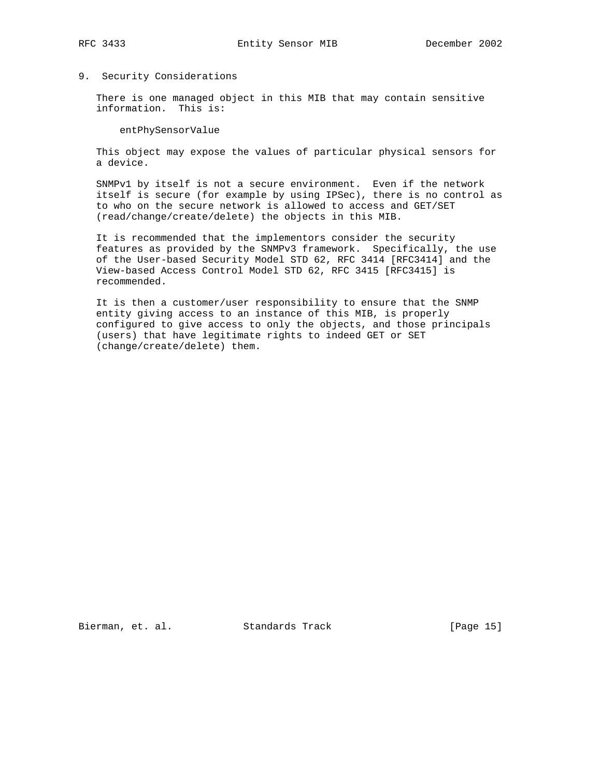# 9. Security Considerations

 There is one managed object in this MIB that may contain sensitive information. This is:

entPhySensorValue

 This object may expose the values of particular physical sensors for a device.

 SNMPv1 by itself is not a secure environment. Even if the network itself is secure (for example by using IPSec), there is no control as to who on the secure network is allowed to access and GET/SET (read/change/create/delete) the objects in this MIB.

 It is recommended that the implementors consider the security features as provided by the SNMPv3 framework. Specifically, the use of the User-based Security Model STD 62, RFC 3414 [RFC3414] and the View-based Access Control Model STD 62, RFC 3415 [RFC3415] is recommended.

 It is then a customer/user responsibility to ensure that the SNMP entity giving access to an instance of this MIB, is properly configured to give access to only the objects, and those principals (users) that have legitimate rights to indeed GET or SET (change/create/delete) them.

Bierman, et. al. Standards Track [Page 15]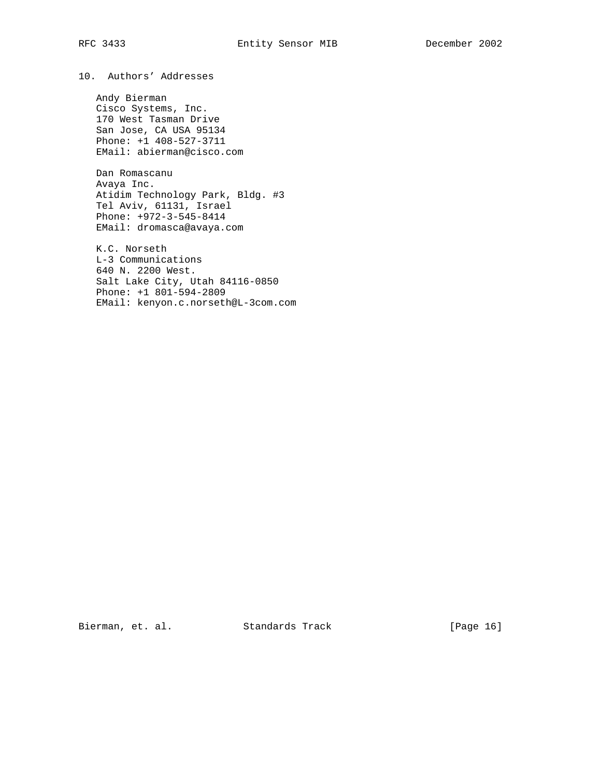10. Authors' Addresses

 Andy Bierman Cisco Systems, Inc. 170 West Tasman Drive San Jose, CA USA 95134 Phone: +1 408-527-3711 EMail: abierman@cisco.com

 Dan Romascanu Avaya Inc. Atidim Technology Park, Bldg. #3 Tel Aviv, 61131, Israel Phone: +972-3-545-8414 EMail: dromasca@avaya.com

 K.C. Norseth L-3 Communications 640 N. 2200 West. Salt Lake City, Utah 84116-0850 Phone: +1 801-594-2809 EMail: kenyon.c.norseth@L-3com.com

Bierman, et. al. Standards Track [Page 16]